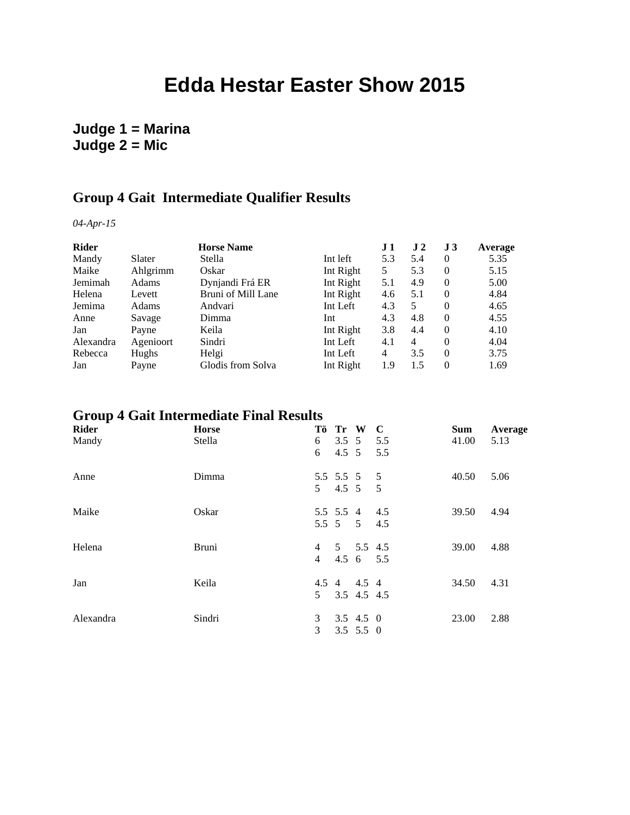# **Edda Hestar Easter Show 2015**

### **Judge 1 = Marina Judge 2 = Mic**

#### **Group 4 Gait Intermediate Qualifier Results**

*04-Apr-15*

| <b>Rider</b> | <b>Horse Name</b> |                    |           |     | J <sub>2</sub> | J <sub>3</sub> | Average |
|--------------|-------------------|--------------------|-----------|-----|----------------|----------------|---------|
| Mandy        | Slater            | Stella             | Int left  | 5.3 | 5.4            | $\theta$       | 5.35    |
| Maike        | Ahlgrimm          | Oskar              | Int Right | 5   | 5.3            | $\theta$       | 5.15    |
| Jemimah      | Adams             | Dynjandi Frá ER    | Int Right | 5.1 | 4.9            | $\theta$       | 5.00    |
| Helena       | Levett            | Bruni of Mill Lane | Int Right | 4.6 | 5.1            | $\theta$       | 4.84    |
| Jemima       | Adams             | Andvari            | Int Left  | 4.3 | 5              | $\theta$       | 4.65    |
| Anne         | Savage            | Dimma              | Int       | 4.3 | 4.8            | $\theta$       | 4.55    |
| Jan          | Payne             | Keila              | Int Right | 3.8 | 4.4            | $\theta$       | 4.10    |
| Alexandra    | Agenioort         | Sindri             | Int Left  | 4.1 | $\overline{4}$ | $\theta$       | 4.04    |
| Rebecca      | Hughs             | Helgi              | Int Left  | 4   | 3.5            | $\Omega$       | 3.75    |
| Jan          | Payne             | Glodis from Solva  | Int Right | 1.9 | 1.5            | $\Omega$       | 1.69    |

## **Group 4 Gait Intermediate Final Results**

| Rider     | <b>Horse</b> |                | Tö Tr W       |                       | $\bf C$ | <b>Sum</b> | Average |
|-----------|--------------|----------------|---------------|-----------------------|---------|------------|---------|
| Mandy     | Stella       | 6              | $3.5 \quad 5$ |                       | 5.5     | 41.00      | 5.13    |
|           |              | 6              | $4.5 \quad 5$ |                       | 5.5     |            |         |
| Anne      | Dimma        |                |               | 5.5 5.5 5 5           |         | 40.50      | 5.06    |
|           |              | 5              |               | $4.5 \quad 5 \quad 5$ |         |            |         |
| Maike     | Oskar        |                |               | 5.5 5.5 4 4.5         |         | 39.50      | 4.94    |
|           |              |                |               | 5.5 5 5 4.5           |         |            |         |
| Helena    | <b>Bruni</b> | $\overline{4}$ |               | 5 5.5 4.5             |         | 39.00      | 4.88    |
|           |              | $\overline{4}$ |               | 4.5 6 5.5             |         |            |         |
| Jan       | Keila        |                |               | 4.5 4 4.5 4           |         | 34.50      | 4.31    |
|           |              | 5              |               | 3.5 4.5 4.5           |         |            |         |
| Alexandra | Sindri       | 3              |               | $3.5$ 4.5 0           |         | 23.00      | 2.88    |
|           |              | 3              |               | $3.5$ 5.5 0           |         |            |         |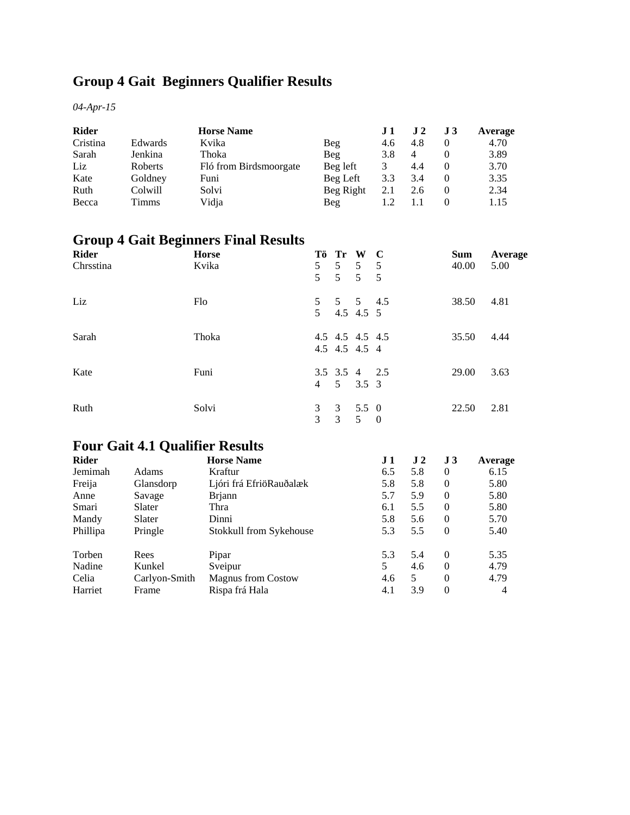## **Group 4 Gait Beginners Qualifier Results**

*04-Apr-15*

| <b>Rider</b> |                | <b>Horse Name</b>      |           | $\bf J1$ | $\bf J$ 2      | J3 | Average |
|--------------|----------------|------------------------|-----------|----------|----------------|----|---------|
| Cristina     | Edwards        | Kvika                  | Beg       | 4.6      | 4.8            |    | 4.70    |
| Sarah        | Jenkina        | Thoka                  | Beg       | 3.8      | $\overline{4}$ |    | 3.89    |
| Liz          | <b>Roberts</b> | Fló from Birdsmoorgate | Beg left  |          | 4.4            |    | 3.70    |
| Kate         | Goldney        | Funi                   | Beg Left  | 3.3      | 3.4            |    | 3.35    |
| Ruth         | Colwill        | Solvi                  | Beg Right | 2.1      | 2.6            |    | 2.34    |
| Becca        | Timms          | Vidia                  | Beg       |          |                |    | 1.15    |

## **Group 4 Gait Beginners Final Results**

| <b>Rider</b><br>Chrsstina | <b>Horse</b><br>Kvika | 5<br>5 <sup>5</sup> | 5 <sup>5</sup>      | Tö Tr W C<br>$5 \quad 5 \quad 5$<br>$5\overline{)}$ | $5\overline{)}$ | <b>Sum</b><br>40.00 | Average<br>5.00 |
|---------------------------|-----------------------|---------------------|---------------------|-----------------------------------------------------|-----------------|---------------------|-----------------|
| Liz                       | Flo                   | 5 <sup>1</sup>      |                     | 5 5 5 4.5<br>4.5 4.5 5                              |                 | 38.50               | 4.81            |
| Sarah                     | Thoka                 |                     |                     | 4.5 4.5 4.5 4.5<br>4.5 4.5 4.5 4                    |                 | 35.50               | 4.44            |
| Kate                      | Funi                  |                     |                     | 3.5 3.5 4 2.5<br>$4 \quad 5 \quad 3.5 \quad 3$      |                 | 29.00               | 3.63            |
| Ruth                      | Solvi                 | 3<br>3              | $\overline{3}$<br>3 | 5.5 0<br>5 <sup>5</sup>                             | $\overline{0}$  | 22.50               | 2.81            |

## **Four Gait 4.1 Qualifier Results**

| <b>Rider</b> |               | <b>Horse Name</b>         | $\bf J1$ | $\bf{J}$ 2 | J <sub>3</sub> | Average |
|--------------|---------------|---------------------------|----------|------------|----------------|---------|
| Jemimah      | Adams         | Kraftur                   | 6.5      | 5.8        | $\Omega$       | 6.15    |
| Freija       | Glansdorp     | Ljóri frá EfriöRauðalæk   | 5.8      | 5.8        | $\Omega$       | 5.80    |
| Anne         | Savage        | <b>Brjann</b>             | 5.7      | 5.9        | $\Omega$       | 5.80    |
| Smari        | Slater        | Thra                      | 6.1      | 5.5        | $\Omega$       | 5.80    |
| Mandy        | Slater        | Dinni                     | 5.8      | 5.6        | $\Omega$       | 5.70    |
| Phillipa     | Pringle       | Stokkull from Sykehouse   | 5.3      | 5.5        | $\Omega$       | 5.40    |
| Torben       | Rees          | Pipar                     | 5.3      | 5.4        | $\Omega$       | 5.35    |
| Nadine       | Kunkel        | Sveipur                   | 5        | 4.6        | $\Omega$       | 4.79    |
| Celia        | Carlyon-Smith | <b>Magnus from Costow</b> | 4.6      | 5          | $\Omega$       | 4.79    |
| Harriet      | Frame         | Rispa frá Hala            | 4.1      | 3.9        | $\Omega$       | 4       |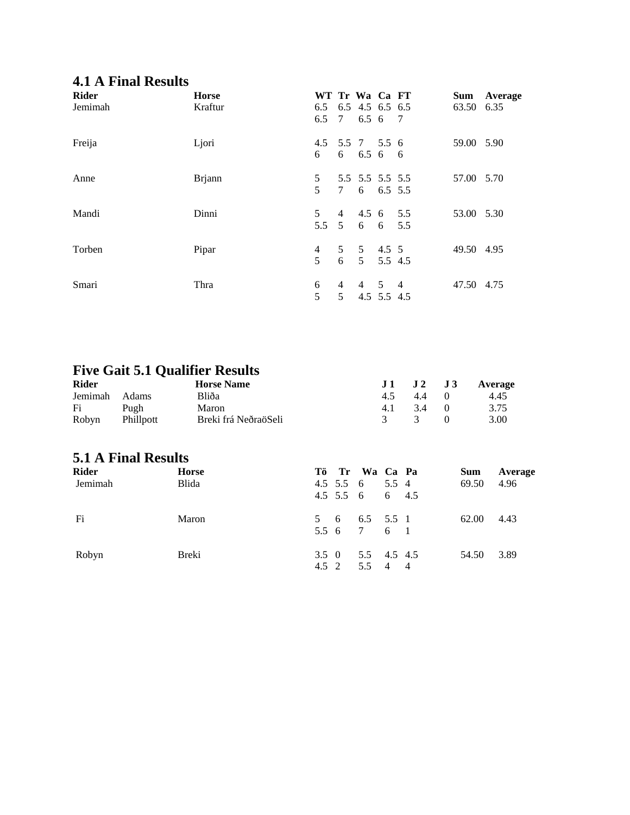## **4.1 A Final Results**

| <b>Rider</b><br>Jemimah | <b>Horse</b><br>Kraftur | WT Tr Wa Ca FT<br>6.5 6.5 4.5 6.5 6.5<br>6.5 7 6.5 6 7 |                     |                                         |  | 63.50 6.35 | Sum Average |
|-------------------------|-------------------------|--------------------------------------------------------|---------------------|-----------------------------------------|--|------------|-------------|
| Freija                  | Ljori                   | 4.5 5.5 7 5.5 6<br>6 6 6.5 6 6                         |                     |                                         |  | 59.00 5.90 |             |
| Anne                    | <b>Brjann</b>           | 5 <sup>5</sup><br>$\mathfrak{S}$                       |                     | 5.5 5.5 5.5 5.5<br>7 6 6.5 5.5          |  | 57.00 5.70 |             |
| Mandi                   | Dinni                   | 5 <sup>5</sup><br>$5.5\quad 5$                         |                     | $4\quad 4.5\quad 6\quad 5.5$<br>6 6 5.5 |  | 53.00 5.30 |             |
| Torben                  | Pipar                   | $\overline{4}$<br>$\overline{5}$                       |                     | 5 5 4.5 5<br>6 5 5.5 4.5                |  | 49.50 4.95 |             |
| Smari                   | Thra                    | 6<br>5                                                 | 4<br>5 <sup>5</sup> | 4 5 4<br>4.5 5.5 4.5                    |  | 47.50 4.75 |             |

### **Five Gait 5.1 Qualifier Results**

| <b>Rider</b> |                  | <b>Horse Name</b>    |               | $J1$ $J2$ $J3$ Average |
|--------------|------------------|----------------------|---------------|------------------------|
| Jemimah      | – Adams          | Bliða                | 4.5 4.4 0     | 4.45                   |
| Fi           | Pugh             | Maron                | 4.1 3.4 0     | 3.75                   |
| Robyn        | <b>Phillpott</b> | Breki frá NeðraöSeli | $\mathcal{R}$ | 3.00                   |

### **5.1 A Final Results**

| <b>Rider</b> | <b>Horse</b> |       | Tö Tr Wa Ca Pa    |  | <b>Sum</b> | Average |
|--------------|--------------|-------|-------------------|--|------------|---------|
| Jemimah      | <b>Blida</b> |       | 4.5 5.5 6 5.5 4   |  | 69.50      | 4.96    |
|              |              |       | 4.5 5.5 6 6 4.5   |  |            |         |
| Fi           | Maron        |       | 5 6 6.5 5.5 1     |  | 62.00      | 4.43    |
|              |              |       | 5.5 6 7 6 1       |  |            |         |
| Robyn        | Breki        |       | 3.5 0 5.5 4.5 4.5 |  | 54.50      | 3.89    |
|              |              | 4.5 2 | 5.5 4 4           |  |            |         |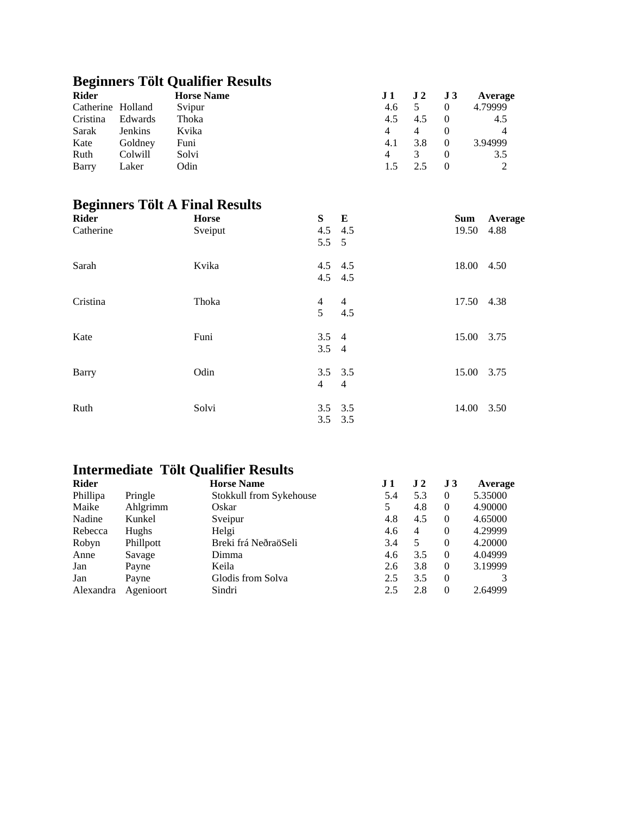## **Beginners Tölt Qualifier Results**

| <b>Rider</b>      |                | <b>Horse Name</b> | J1  | $J2$ $J3$ |                  | Average |
|-------------------|----------------|-------------------|-----|-----------|------------------|---------|
| Catherine Holland |                | Svipur            | 4.6 |           | $\theta$         | 4.79999 |
| Cristina          | Edwards        | Thoka             | 4.5 | 4.5       |                  | 4.5     |
| Sarak             | <b>Jenkins</b> | Kvika             | 4   | 4         | $\left( \right)$ |         |
| Kate              | Goldney        | Funi              | 4.1 | 3.8       | $\Omega$         | 3.94999 |
| Ruth              | Colwill        | Solvi             | 4   | 3         |                  | 3.5     |
| Barry             | Laker          | Odin              |     |           |                  |         |

## **Beginners Tölt A Final Results**

| <b>Rider</b> | <b>Horse</b> |               | S E            | Sum        | <b>Average</b> |
|--------------|--------------|---------------|----------------|------------|----------------|
| Catherine    | Sveiput      |               | $4.5$ $4.5$    | 19.50      | 4.88           |
|              |              | $5.5\quad 5$  |                |            |                |
| Sarah        | Kvika        |               | 4.5 4.5        | 18.00 4.50 |                |
|              |              |               | $4.5$ $4.5$    |            |                |
| Cristina     | Thoka        | 4             | $\overline{4}$ | 17.50 4.38 |                |
|              |              | 5             | 4.5            |            |                |
| Kate         | Funi         | $3.5 \quad 4$ |                | 15.00 3.75 |                |
|              |              | $3.5 \quad 4$ |                |            |                |
| Barry        | Odin         |               | $3.5$ $3.5$    | 15.00 3.75 |                |
|              |              | 4             | $\overline{4}$ |            |                |
| Ruth         | Solvi        |               | $3.5$ $3.5$    | 14.00 3.50 |                |
|              |              |               | $3.5$ $3.5$    |            |                |
|              |              |               |                |            |                |

## **Intermediate Tölt Qualifier Results**

| <b>Rider</b> |           | <b>Horse Name</b>       | J 1 | J <sub>2</sub> | J <sub>3</sub> | Average |
|--------------|-----------|-------------------------|-----|----------------|----------------|---------|
| Phillipa     | Pringle   | Stokkull from Sykehouse | 5.4 | 5.3            | $\theta$       | 5.35000 |
| Maike        | Ahlgrimm  | Oskar                   |     | 4.8            | $\Omega$       | 4.90000 |
| Nadine       | Kunkel    | Sveipur                 | 4.8 | 4.5            | $\theta$       | 4.65000 |
| Rebecca      | Hughs     | Helgi                   | 4.6 | $\overline{4}$ | $\Omega$       | 4.29999 |
| Robyn        | Phillpott | Breki frá NeðraöSeli    | 3.4 | 5              | $\Omega$       | 4.20000 |
| Anne         | Savage    | Dimma                   | 4.6 | 3.5            | $\Omega$       | 4.04999 |
| Jan          | Payne     | Keila                   | 2.6 | 3.8            | $\Omega$       | 3.19999 |
| Jan          | Payne     | Glodis from Solva       | 2.5 | 3.5            | $\Omega$       |         |
| Alexandra    | Agenioort | Sindri                  | 2.5 | 2.8            | $\Omega$       | 2.64999 |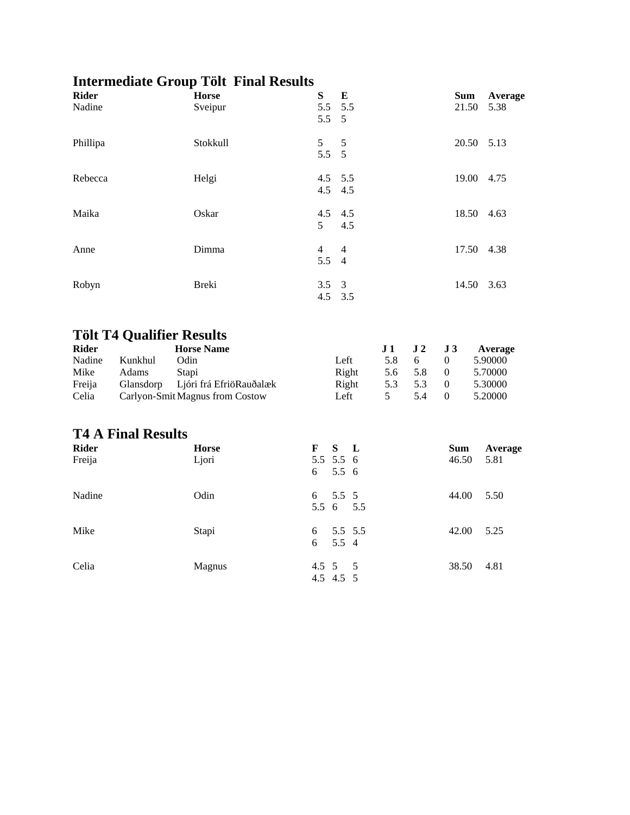## **Intermediate Group Tölt Final Results**

| <b>Rider</b><br>Nadine |                                   | д,<br><b>Horse</b><br>Sveipur   | ${\bf S}$<br>5.5<br>5.5    | ${\bf E}$<br>5.5<br>5 |         |                |                |                                      | <b>Sum</b><br>21.50 | Average<br>5.38    |
|------------------------|-----------------------------------|---------------------------------|----------------------------|-----------------------|---------|----------------|----------------|--------------------------------------|---------------------|--------------------|
| Phillipa               |                                   | Stokkull                        | 5<br>5.5                   | 5<br>5                |         |                |                |                                      |                     | 20.50 5.13         |
| Rebecca                |                                   | Helgi                           | 4.5<br>4.5                 | 5.5<br>4.5            |         |                |                |                                      |                     | 19.00 4.75         |
| Maika                  |                                   | Oskar                           | 4.5<br>5                   | 4.5<br>4.5            |         |                |                |                                      |                     | 18.50 4.63         |
| Anne                   |                                   | Dimma                           | 4<br>5.5                   | 4<br>$\overline{4}$   |         |                |                |                                      |                     | 17.50 4.38         |
| Robyn                  |                                   | <b>Breki</b>                    | 3.5<br>4.5                 | $\mathfrak{Z}$<br>3.5 |         |                |                |                                      |                     | 14.50 3.63         |
|                        | <b>Tölt T4 Qualifier Results</b>  |                                 |                            |                       |         |                |                |                                      |                     |                    |
| <b>Rider</b>           |                                   | <b>Horse Name</b>               |                            |                       |         | J <sub>1</sub> | J <sub>2</sub> | J3                                   |                     | Average            |
| Nadine<br>Mike         | Kunkhul<br>Odin<br>Adams<br>Stapi |                                 |                            | Left<br>Right         |         | 5.8<br>5.6     | 6<br>5.8       | $\boldsymbol{0}$<br>$\boldsymbol{0}$ |                     | 5.90000<br>5.70000 |
| Freija                 | Glansdorp                         | Ljóri frá EfriöRauðalæk         |                            | Right                 |         | 5.3            | 5.3            | $\boldsymbol{0}$                     |                     | 5.30000            |
| Celia                  |                                   | Carlyon-Smit Magnus from Costow |                            | Left                  |         | 5              | 5.4            | $\boldsymbol{0}$                     |                     | 5.20000            |
|                        | <b>T4 A Final Results</b>         |                                 |                            |                       |         |                |                |                                      |                     |                    |
| Rider<br>Freija        |                                   | <b>Horse</b><br>Ljori           | F<br>5.5 5.5 6             | ${\bf S}$             | L       |                |                |                                      | <b>Sum</b><br>46.50 | Average<br>5.81    |
|                        |                                   |                                 | 6                          | 5.5 6                 |         |                |                |                                      |                     |                    |
| Nadine                 |                                   | Odin                            | 6<br>$5.5\quad 6$          | 5.5 5                 | 5.5     |                |                |                                      | 44.00               | 5.50               |
| Mike                   |                                   | Stapi                           | 6<br>6                     | 5.5 4                 | 5.5 5.5 |                |                |                                      | 42.00               | 5.25               |
| Celia                  |                                   | Magnus                          | $4.5 \quad 5$<br>4.5 4.5 5 |                       | 5       |                |                |                                      | 38.50               | 4.81               |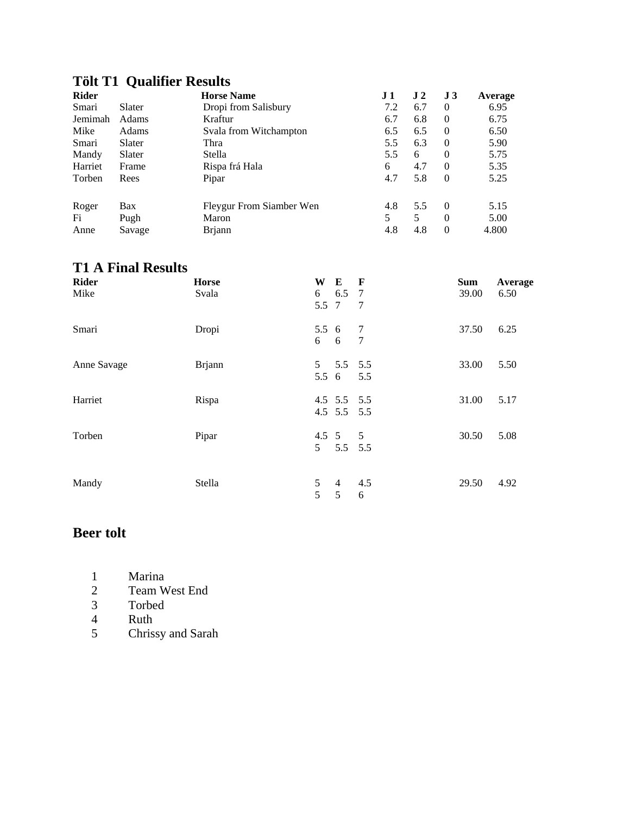#### **Tölt T1 Qualifier Results**

| <b>Rider</b> |        | <b>Horse Name</b>        | $\bf J1$ | J <sub>2</sub> | J <sub>3</sub> | Average |
|--------------|--------|--------------------------|----------|----------------|----------------|---------|
| Smari        | Slater | Dropi from Salisbury     | 7.2      | 6.7            | 0              | 6.95    |
| Jemimah      | Adams  | Kraftur                  | 6.7      | 6.8            | $\theta$       | 6.75    |
| Mike         | Adams  | Svala from Witchampton   | 6.5      | 6.5            | $\Omega$       | 6.50    |
| Smari        | Slater | Thra                     | 5.5      | 6.3            | $\Omega$       | 5.90    |
| Mandy        | Slater | Stella                   | 5.5      | 6              | $\Omega$       | 5.75    |
| Harriet      | Frame  | Rispa frá Hala           | 6        | 4.7            | $\Omega$       | 5.35    |
| Torben       | Rees   | Pipar                    | 4.7      | 5.8            | $\Omega$       | 5.25    |
| Roger        | Bax    | Fleygur From Siamber Wen | 4.8      | 5.5            | $\Omega$       | 5.15    |
| Fi           | Pugh   | Maron                    |          | 5              | $\Omega$       | 5.00    |
| Anne         | Savage | <b>Brjann</b>            | 4.8      | 4.8            | $\theta$       | 4.800   |

### **T1 A Final Results**

| <b>Rider</b> | <b>Horse</b>  | W                   | E                          | $\mathbf{F}$                     | <b>Sum</b> | Average |
|--------------|---------------|---------------------|----------------------------|----------------------------------|------------|---------|
| Mike         | Svala         | 6<br>5.5 7          | 6.5 7                      | $\overline{7}$                   | 39.00      | 6.50    |
| Smari        | Dropi         | $5.5\quad 6$<br>6 6 |                            | $\overline{7}$<br>$\overline{7}$ | 37.50      | 6.25    |
| Anne Savage  | <b>Brjann</b> | 5 <sup>5</sup>      | 5.5 5.5<br>5.5 6           | 5.5                              | 33.00      | 5.50    |
| Harriet      | Rispa         |                     | 4.5 5.5 5.5<br>4.5 5.5 5.5 |                                  | 31.00      | 5.17    |
| Torben       | Pipar         | 5 <sup>5</sup>      | 4.5 5 5<br>5.5 5.5         |                                  | 30.50      | 5.08    |
| Mandy        | Stella        | 5<br>5              | 4<br>5                     | 4.5<br>6                         | 29.50      | 4.92    |

#### **Beer tolt**

- 1 Marina<br>2 Team W
- 2 Team West End<br>3 Torbed
- 3 Torbed
- 4 Ruth<br>5 Chris
- 5 Chrissy and Sarah